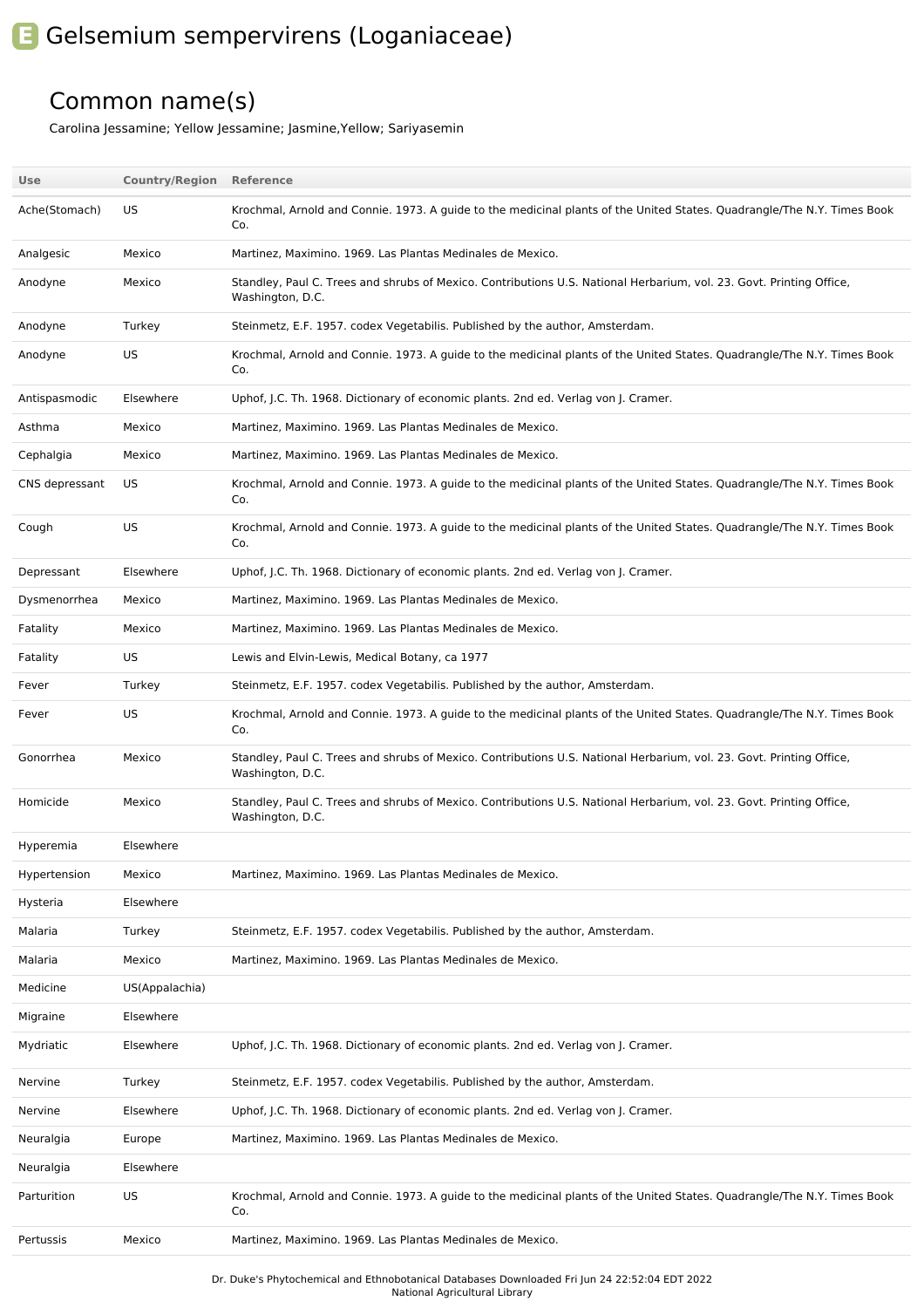## **E** Gelsemium sempervirens (Loganiaceae)

## Common name(s)

Carolina Jessamine; Yellow Jessamine; Jasmine,Yellow; Sariyasemin

| Use            | <b>Country/Region</b> | Reference                                                                                                                                |
|----------------|-----------------------|------------------------------------------------------------------------------------------------------------------------------------------|
| Ache(Stomach)  | US                    | Krochmal, Arnold and Connie. 1973. A guide to the medicinal plants of the United States. Quadrangle/The N.Y. Times Book<br>Co.           |
| Analgesic      | Mexico                | Martinez, Maximino. 1969. Las Plantas Medinales de Mexico.                                                                               |
| Anodyne        | Mexico                | Standley, Paul C. Trees and shrubs of Mexico. Contributions U.S. National Herbarium, vol. 23. Govt. Printing Office,<br>Washington, D.C. |
| Anodyne        | Turkey                | Steinmetz, E.F. 1957. codex Vegetabilis. Published by the author, Amsterdam.                                                             |
| Anodyne        | US                    | Krochmal, Arnold and Connie. 1973. A quide to the medicinal plants of the United States. Quadrangle/The N.Y. Times Book<br>Co.           |
| Antispasmodic  | Elsewhere             | Uphof, J.C. Th. 1968. Dictionary of economic plants. 2nd ed. Verlag von J. Cramer.                                                       |
| Asthma         | Mexico                | Martinez, Maximino. 1969. Las Plantas Medinales de Mexico.                                                                               |
| Cephalgia      | Mexico                | Martinez, Maximino. 1969. Las Plantas Medinales de Mexico.                                                                               |
| CNS depressant | US                    | Krochmal, Arnold and Connie. 1973. A guide to the medicinal plants of the United States. Quadrangle/The N.Y. Times Book<br>Co.           |
| Cough          | US                    | Krochmal, Arnold and Connie. 1973. A guide to the medicinal plants of the United States. Quadrangle/The N.Y. Times Book<br>Co.           |
| Depressant     | Elsewhere             | Uphof, J.C. Th. 1968. Dictionary of economic plants. 2nd ed. Verlag von J. Cramer.                                                       |
| Dysmenorrhea   | Mexico                | Martinez, Maximino. 1969. Las Plantas Medinales de Mexico.                                                                               |
| Fatality       | Mexico                | Martinez, Maximino. 1969. Las Plantas Medinales de Mexico.                                                                               |
| Fatality       | US                    | Lewis and Elvin-Lewis, Medical Botany, ca 1977                                                                                           |
| Fever          | Turkey                | Steinmetz, E.F. 1957. codex Vegetabilis. Published by the author, Amsterdam.                                                             |
| Fever          | US                    | Krochmal, Arnold and Connie. 1973. A guide to the medicinal plants of the United States. Quadrangle/The N.Y. Times Book<br>Co.           |
| Gonorrhea      | Mexico                | Standley, Paul C. Trees and shrubs of Mexico. Contributions U.S. National Herbarium, vol. 23. Govt. Printing Office,<br>Washington, D.C. |
| Homicide       | Mexico                | Standley, Paul C. Trees and shrubs of Mexico. Contributions U.S. National Herbarium, vol. 23. Govt. Printing Office,<br>Washington, D.C. |
| Hyperemia      | Elsewhere             |                                                                                                                                          |
| Hypertension   | Mexico                | Martinez, Maximino. 1969. Las Plantas Medinales de Mexico.                                                                               |
| Hysteria       | Elsewhere             |                                                                                                                                          |
| Malaria        | Turkey                | Steinmetz, E.F. 1957. codex Vegetabilis. Published by the author, Amsterdam.                                                             |
| Malaria        | Mexico                | Martinez, Maximino. 1969. Las Plantas Medinales de Mexico.                                                                               |
| Medicine       | US(Appalachia)        |                                                                                                                                          |
| Migraine       | Elsewhere             |                                                                                                                                          |
| Mydriatic      | Elsewhere             | Uphof, J.C. Th. 1968. Dictionary of economic plants. 2nd ed. Verlag von J. Cramer.                                                       |
| Nervine        | Turkey                | Steinmetz, E.F. 1957. codex Vegetabilis. Published by the author, Amsterdam.                                                             |
| Nervine        | Elsewhere             | Uphof, J.C. Th. 1968. Dictionary of economic plants. 2nd ed. Verlag von J. Cramer.                                                       |
| Neuralgia      | Europe                | Martinez, Maximino. 1969. Las Plantas Medinales de Mexico.                                                                               |
| Neuralgia      | Elsewhere             |                                                                                                                                          |
| Parturition    | US                    | Krochmal, Arnold and Connie. 1973. A guide to the medicinal plants of the United States. Quadrangle/The N.Y. Times Book<br>Co.           |
| Pertussis      | Mexico                | Martinez, Maximino. 1969. Las Plantas Medinales de Mexico.                                                                               |